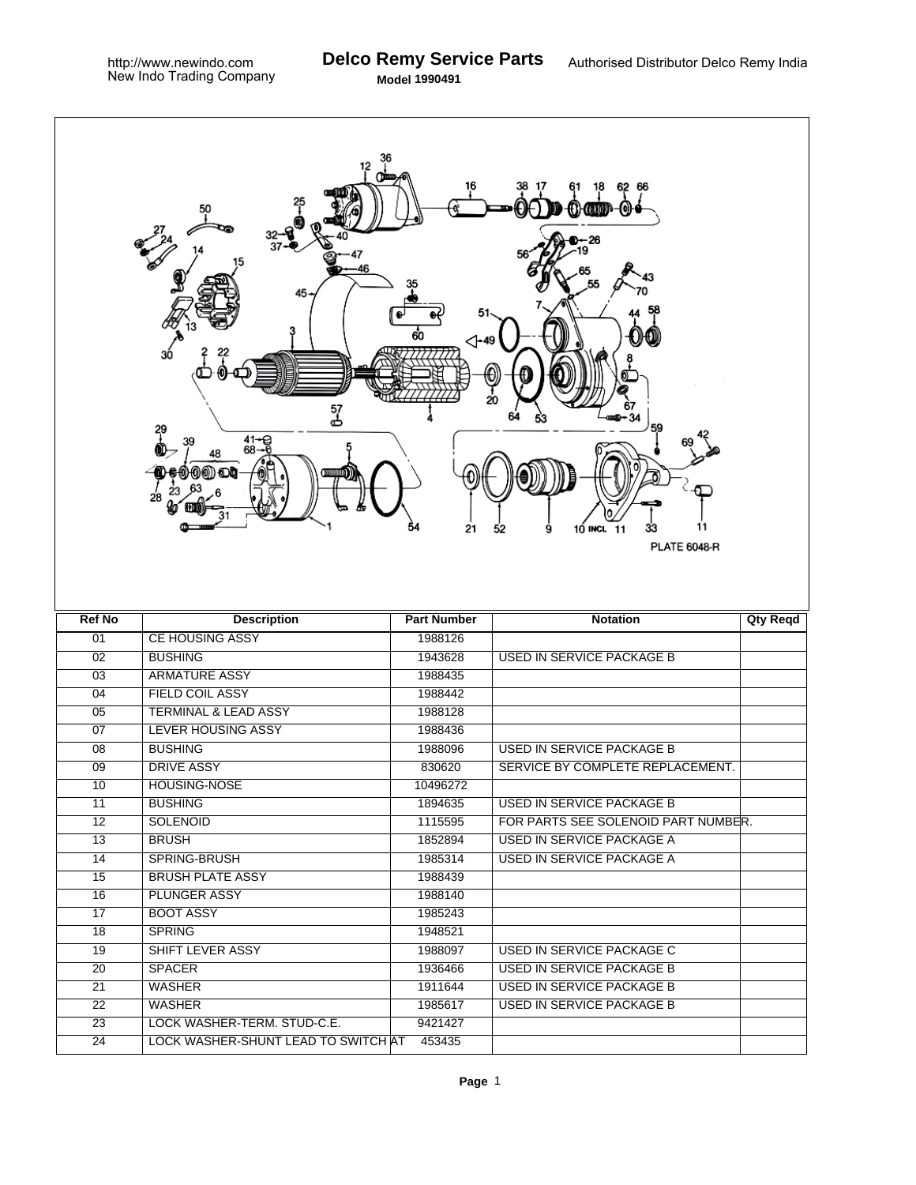|                 | 50<br>45<br>ЗÓ<br>57<br>ക<br>29<br>41⊸⊖<br>68- | <ी~49<br>54<br>21  | 33<br>11<br>10 INCL 11<br>52<br>9<br><b>PLATE 6048-R</b> |                 |
|-----------------|------------------------------------------------|--------------------|----------------------------------------------------------|-----------------|
| <b>Ref No</b>   | <b>Description</b>                             | <b>Part Number</b> | <b>Notation</b>                                          |                 |
|                 |                                                |                    |                                                          | <b>Qty Reqd</b> |
| 01              | <b>CE HOUSING ASSY</b>                         | 1988126            |                                                          |                 |
| 02              | <b>BUSHING</b>                                 | 1943628            | <b>USED IN SERVICE PACKAGE B</b>                         |                 |
| $\overline{03}$ | <b>ARMATURE ASSY</b>                           | 1988435            |                                                          |                 |
| $\overline{04}$ | <b>FIELD COIL ASSY</b>                         | 1988442            |                                                          |                 |
| 05              | <b>TERMINAL &amp; LEAD ASSY</b>                | 1988128            |                                                          |                 |
| 07              | <b>LEVER HOUSING ASSY</b>                      | 1988436            |                                                          |                 |
| $\overline{08}$ | <b>BUSHING</b>                                 | 1988096            | <b>USED IN SERVICE PACKAGE B</b>                         |                 |
| 09              | <b>DRIVE ASSY</b>                              | 830620             | SERVICE BY COMPLETE REPLACEMENT.                         |                 |
| 10              | <b>HOUSING-NOSE</b>                            | 10496272           |                                                          |                 |
| 11              | <b>BUSHING</b>                                 | 1894635            | USED IN SERVICE PACKAGE B                                |                 |
| $\overline{12}$ | <b>SOLENOID</b>                                | 1115595            | FOR PARTS SEE SOLENOID PART NUMBER.                      |                 |
| 13              | <b>BRUSH</b>                                   | 1852894            | USED IN SERVICE PACKAGE A                                |                 |
| 14              | SPRING-BRUSH                                   | 1985314            | USED IN SERVICE PACKAGE A                                |                 |
| 15              | <b>BRUSH PLATE ASSY</b>                        | 1988439            |                                                          |                 |
| 16              | <b>PLUNGER ASSY</b>                            | 1988140            |                                                          |                 |
| 17              | <b>BOOT ASSY</b>                               | 1985243            |                                                          |                 |
| 18              | <b>SPRING</b>                                  | 1948521            |                                                          |                 |
| 19              | SHIFT LEVER ASSY                               | 1988097            | <b>USED IN SERVICE PACKAGE C</b>                         |                 |
| $\overline{20}$ | <b>SPACER</b>                                  | 1936466            | <b>USED IN SERVICE PACKAGE B</b>                         |                 |
| 21              | <b>WASHER</b>                                  | 1911644            | <b>USED IN SERVICE PACKAGE B</b>                         |                 |
| $\overline{22}$ | <b>WASHER</b>                                  | 1985617            | USED IN SERVICE PACKAGE B                                |                 |
| 23              | LOCK WASHER-TERM. STUD-C.E.                    | 9421427            |                                                          |                 |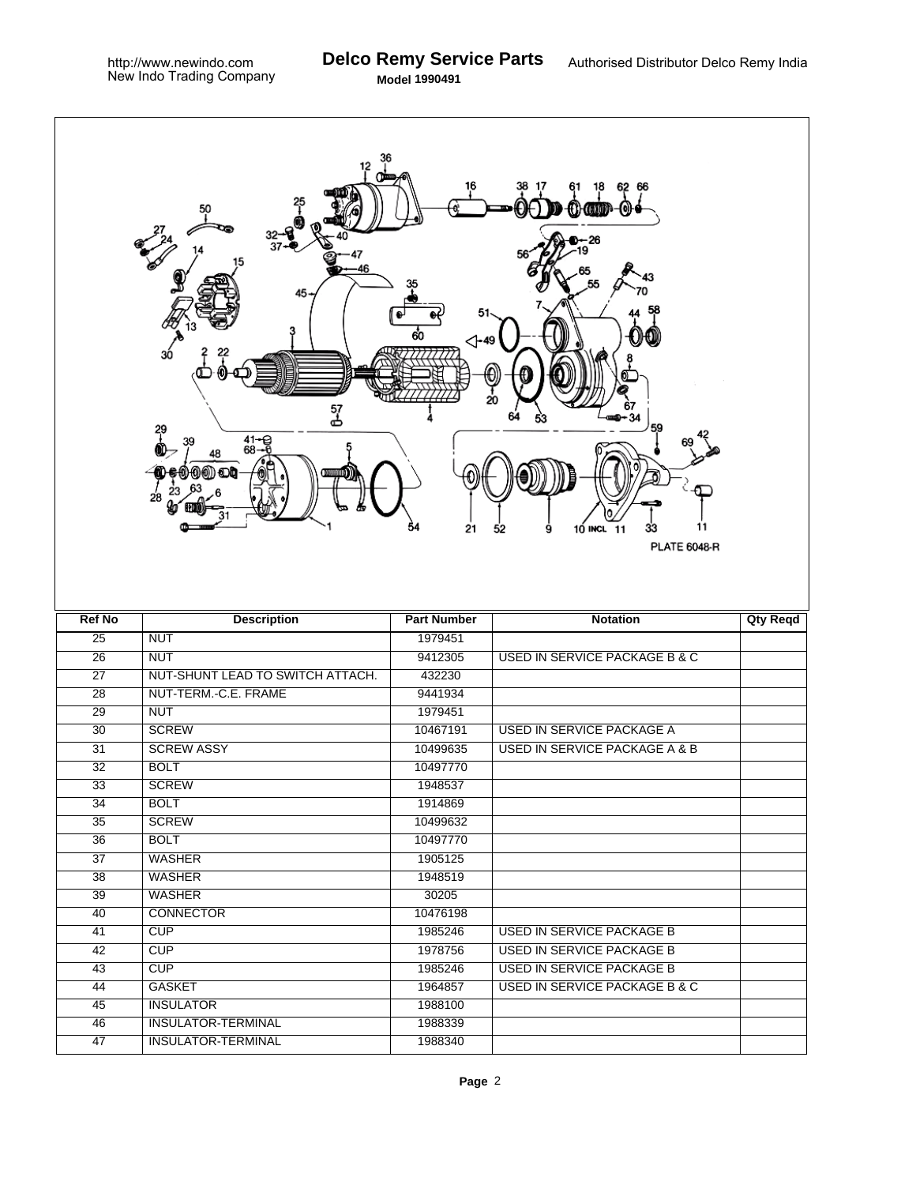|                 | 12<br>50<br>-<br>37<br>45<br>зó<br>57<br>ക<br>?<br>$41 - 68 - 6$<br>39<br>48<br>28 | 60<br>⊲-49<br>54<br>21 | 62 66<br>0)<br>26<br>20<br>$-34$<br>59<br>11<br>10 INCL 11<br>33<br>52<br>9<br><b>PLATE 6048-R</b> |                 |
|-----------------|------------------------------------------------------------------------------------|------------------------|----------------------------------------------------------------------------------------------------|-----------------|
| <b>Ref No</b>   | <b>Description</b>                                                                 | <b>Part Number</b>     | <b>Notation</b>                                                                                    | <b>Qty Reqd</b> |
| $\overline{25}$ | <b>NUT</b>                                                                         | 1979451                |                                                                                                    |                 |
| $\overline{26}$ |                                                                                    |                        |                                                                                                    |                 |
|                 | <b>NUT</b>                                                                         | 9412305                | USED IN SERVICE PACKAGE B & C                                                                      |                 |
| $\overline{27}$ | NUT-SHUNT LEAD TO SWITCH ATTACH.                                                   | 432230                 |                                                                                                    |                 |
| $\overline{28}$ | NUT-TERM.-C.E. FRAME                                                               | 9441934                |                                                                                                    |                 |
| 29              | <b>NUT</b>                                                                         | 1979451                |                                                                                                    |                 |
| $\overline{30}$ | <b>SCREW</b>                                                                       | 10467191               | <b>USED IN SERVICE PACKAGE A</b>                                                                   |                 |
| $\overline{31}$ | <b>SCREW ASSY</b>                                                                  | 10499635               | <b>USED IN SERVICE PACKAGE A &amp; B</b>                                                           |                 |
| $\overline{32}$ | <b>BOLT</b>                                                                        | 10497770               |                                                                                                    |                 |
| $\overline{33}$ | <b>SCREW</b>                                                                       | 1948537                |                                                                                                    |                 |
| 34              | <b>BOLT</b>                                                                        | 1914869                |                                                                                                    |                 |
| 35              | <b>SCREW</b>                                                                       | 10499632               |                                                                                                    |                 |
| $\overline{36}$ | <b>BOLT</b>                                                                        | 10497770               |                                                                                                    |                 |
| $\overline{37}$ | <b>WASHER</b>                                                                      | 1905125                |                                                                                                    |                 |
| 38              | <b>WASHER</b>                                                                      | 1948519                |                                                                                                    |                 |
| 39              | <b>WASHER</b>                                                                      | 30205                  |                                                                                                    |                 |
| 40              | <b>CONNECTOR</b>                                                                   | 10476198               |                                                                                                    |                 |
| 41              | CUP                                                                                | 1985246                | USED IN SERVICE PACKAGE B                                                                          |                 |
| 42              | CUP                                                                                | 1978756                | USED IN SERVICE PACKAGE B                                                                          |                 |
| 43              | <b>CUP</b>                                                                         | 1985246                | <b>USED IN SERVICE PACKAGE B</b>                                                                   |                 |
| 44              | <b>GASKET</b>                                                                      | 1964857                | <b>USED IN SERVICE PACKAGE B &amp; C</b>                                                           |                 |
| 45              | <b>INSULATOR</b>                                                                   | 1988100                |                                                                                                    |                 |
| 46              | INSULATOR-TERMINAL                                                                 | 1988339                |                                                                                                    |                 |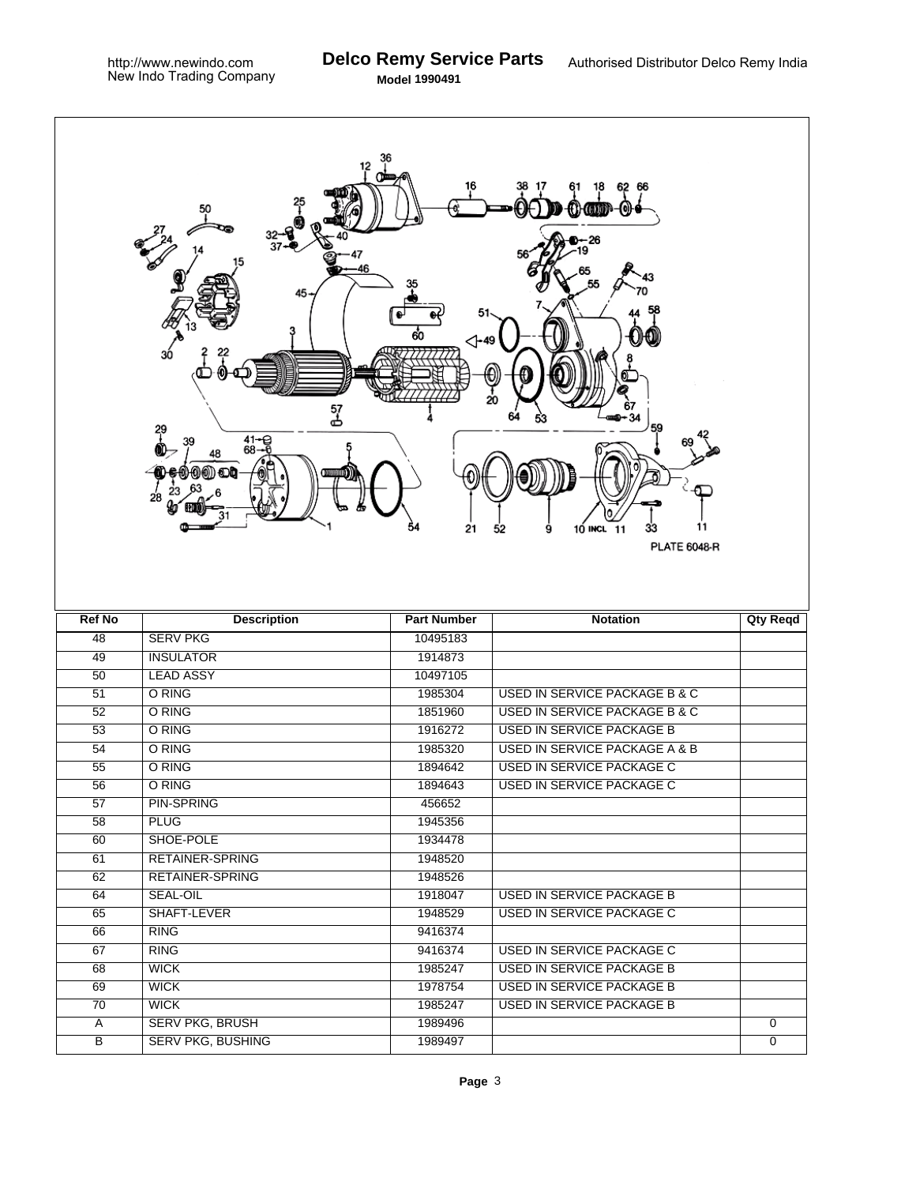|                 | 12<br>50<br>45.<br>ЗÓ<br>57<br>군<br>29<br>$41 - 68 - 6$<br>48<br>00 OD<br>28 | 60<br>⊲-49<br>54<br>21 | 62 66<br>18<br>(o)<br>O.<br>20<br>34<br>59<br>11<br>10 INCL 11<br>33<br>52<br>9<br><b>PLATE 6048-R</b> |                 |
|-----------------|------------------------------------------------------------------------------|------------------------|--------------------------------------------------------------------------------------------------------|-----------------|
| <b>Ref No</b>   | <b>Description</b>                                                           | <b>Part Number</b>     | <b>Notation</b>                                                                                        | <b>Qty Reqd</b> |
| 48              | <b>SERV PKG</b>                                                              | 10495183               |                                                                                                        |                 |
| 49              | <b>INSULATOR</b>                                                             | 1914873                |                                                                                                        |                 |
| 50              | <b>LEAD ASSY</b>                                                             | 10497105               |                                                                                                        |                 |
| $\overline{51}$ | O RING                                                                       | 1985304                | <b>USED IN SERVICE PACKAGE B &amp; C</b>                                                               |                 |
| 52              | O RING                                                                       | 1851960                | USED IN SERVICE PACKAGE B & C                                                                          |                 |
| $\overline{53}$ | O RING                                                                       | 1916272                | <b>USED IN SERVICE PACKAGE B</b>                                                                       |                 |
| 54              | O RING                                                                       | 1985320                | <b>USED IN SERVICE PACKAGE A &amp; B</b>                                                               |                 |
| 55              | O RING                                                                       | 1894642                | <b>USED IN SERVICE PACKAGE C</b>                                                                       |                 |
| $\overline{56}$ | O RING                                                                       | 1894643                | <b>USED IN SERVICE PACKAGE C</b>                                                                       |                 |
| 57              | <b>PIN-SPRING</b>                                                            | 456652                 |                                                                                                        |                 |
| 58              | <b>PLUG</b>                                                                  | 1945356                |                                                                                                        |                 |
| 60              | SHOE-POLE                                                                    | 1934478                |                                                                                                        |                 |
| 61              | <b>RETAINER-SPRING</b>                                                       | 1948520                |                                                                                                        |                 |
| 62              | RETAINER-SPRING                                                              | 1948526                |                                                                                                        |                 |
| 64              |                                                                              |                        |                                                                                                        |                 |
| 65              | SEAL-OIL                                                                     | 1918047                | <b>USED IN SERVICE PACKAGE B</b>                                                                       |                 |
|                 | SHAFT-LEVER                                                                  | 1948529                | <b>USED IN SERVICE PACKAGE C</b>                                                                       |                 |
| 66              | <b>RING</b>                                                                  | 9416374                |                                                                                                        |                 |
| 67              | <b>RING</b>                                                                  | 9416374                | USED IN SERVICE PACKAGE C                                                                              |                 |
| 68              | <b>WICK</b>                                                                  | 1985247                | <b>USED IN SERVICE PACKAGE B</b>                                                                       |                 |
| 69              | <b>WICK</b>                                                                  | 1978754                | <b>USED IN SERVICE PACKAGE B</b>                                                                       |                 |
| 70              | <b>WICK</b>                                                                  | 1985247                | <b>USED IN SERVICE PACKAGE B</b>                                                                       |                 |
| A               | <b>SERV PKG, BRUSH</b>                                                       | 1989496                |                                                                                                        | 0               |